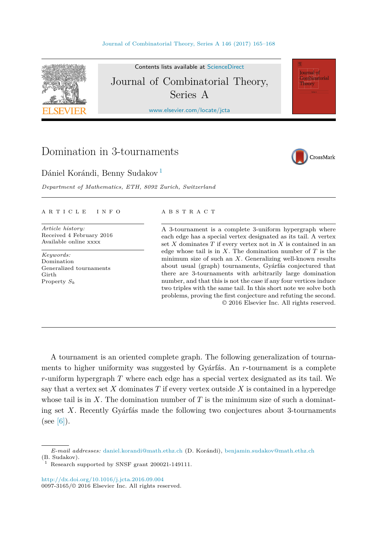

Contents lists available at [ScienceDirect](http://www.ScienceDirect.com/) Journal of Combinatorial Theory, Series A

[www.elsevier.com/locate/jcta](http://www.elsevier.com/locate/jcta)

# Domination in 3-tournaments

# Dániel Korándi, Benny Sudakov <sup>1</sup>

*Department of Mathematics, ETH, 8092 Zurich, Switzerland*



Journal of Combinatorial Theory

### A R T I C L E I N F O A B S T R A C T

*Article history:* Received 4 February 2016 Available online xxxx

*Keywords:* Domination Generalized tournaments  $C$ irth Property *S<sup>k</sup>*

A 3-tournament is a complete 3-uniform hypergraph where each edge has a special vertex designated as its tail. A vertex set *X* dominates *T* if every vertex not in *X* is contained in an edge whose tail is in *X*. The domination number of *T* is the minimum size of such an *X*. Generalizing well-known results about usual (graph) tournaments, Gyárfás conjectured that there are 3-tournaments with arbitrarily large domination number, and that this is not the case if any four vertices induce two triples with the same tail. In this short note we solve both problems, proving the first conjecture and refuting the second. © 2016 Elsevier Inc. All rights reserved.

A tournament is an oriented complete graph. The following generalization of tournaments to higher uniformity was suggested by Gyárfás. An *r*-tournament is a complete *r*-uniform hypergraph *T* where each edge has a special vertex designated as its tail. We say that a vertex set *X* dominates *T* if every vertex outside *X* is contained in a hyperedge whose tail is in *X*. The domination number of *T* is the minimum size of such a dominating set *X*. Recently Gyárfás made the following two conjectures about 3-tournaments (see  $[6]$ ).

*E-mail addresses:* [daniel.korandi@math.ethz.ch](mailto:daniel.korandi@math.ethz.ch) (D. Korándi), [benjamin.sudakov@math.ethz.ch](mailto:benjamin.sudakov@math.ethz.ch) (B. Sudakov).

Research supported by SNSF grant 200021-149111.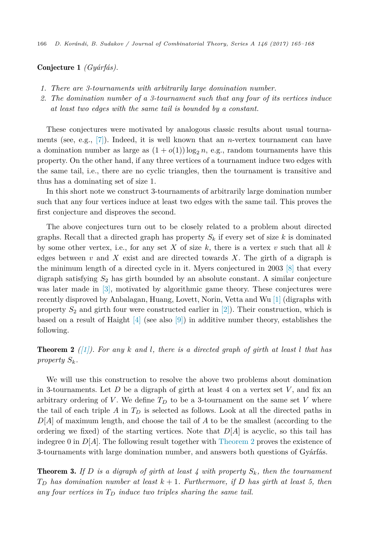Conjecture 1 *(Gyárfás).*

- *1. There are 3-tournaments with arbitrarily large domination number.*
- *2. The domination number of a 3-tournament such that any four of its vertices induce at least two edges with the same tail is bounded by a constant.*

These conjectures were motivated by analogous classic results about usual tournaments (see, e.g., [\[7\]\)](#page-3-0). Indeed, it is well known that an *n*-vertex tournament can have a domination number as large as  $(1 + o(1)) \log_2 n$ , e.g., random tournaments have this property. On the other hand, if any three vertices of a tournament induce two edges with the same tail, i.e., there are no cyclic triangles, then the tournament is transitive and thus has a dominating set of size 1.

In this short note we construct 3-tournaments of arbitrarily large domination number such that any four vertices induce at least two edges with the same tail. This proves the first conjecture and disproves the second.

The above conjectures turn out to be closely related to a problem about directed graphs. Recall that a directed graph has property  $S_k$  if every set of size  $k$  is dominated by some other vertex, i.e., for any set  $X$  of size  $k$ , there is a vertex  $v$  such that all  $k$ edges between *v* and *X* exist and are directed towards *X*. The girth of a digraph is the minimum length of a directed cycle in it. Myers conjectured in 2003 [\[8\]](#page-3-0) that every digraph satisfying *S*<sup>2</sup> has girth bounded by an absolute constant. A similar conjecture was later made in [\[3\],](#page-3-0) motivated by algorithmic game theory. These conjectures were recently disproved by Anbalagan, Huang, Lovett, Norin, Vetta and Wu [\[1\]](#page-3-0) (digraphs with property *S*<sup>2</sup> and girth four were constructed earlier in [\[2\]\)](#page-3-0). Their construction, which is based on a result of Haight  $[4]$  (see also  $[9]$ ) in additive number theory, establishes the following.

**Theorem 2** (11). For any k and l, there is a directed graph of girth at least l that has *property Sk.*

We will use this construction to resolve the above two problems about domination in 3-tournaments. Let *D* be a digraph of girth at least 4 on a vertex set *V* , and fix an arbitrary ordering of *V*. We define  $T<sub>D</sub>$  to be a 3-tournament on the same set *V* where the tail of each triple *A* in *T<sup>D</sup>* is selected as follows. Look at all the directed paths in *D*[*A*] of maximum length, and choose the tail of *A* to be the smallest (according to the ordering we fixed) of the starting vertices. Note that  $D[A]$  is acyclic, so this tail has indegree 0 in *D*[*A*]. The following result together with Theorem 2 proves the existence of 3-tournaments with large domination number, and answers both questions of Gyárfás.

**Theorem 3.** If D is a digraph of girth at least 4 with property  $S_k$ , then the tournament  $T<sub>D</sub>$  *has domination number at least*  $k + 1$ *. Furthermore, if D has girth at least* 5*, then any four vertices in T<sup>D</sup> induce two triples sharing the same tail.*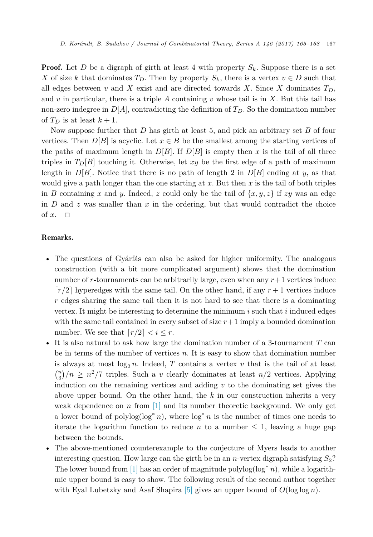**Proof.** Let *D* be a digraph of girth at least 4 with property  $S_k$ . Suppose there is a set *X* of size *k* that dominates  $T_p$ . Then by property  $S_k$ , there is a vertex  $v \in D$  such that all edges between *v* and *X* exist and are directed towards *X*. Since *X* dominates  $T<sub>D</sub>$ , and  $v$  in particular, there is a triple  $A$  containing  $v$  whose tail is in  $X$ . But this tail has non-zero indegree in  $D[A]$ , contradicting the definition of  $T_D$ . So the domination number of  $T_D$  is at least  $k+1$ .

Now suppose further that *D* has girth at least 5, and pick an arbitrary set *B* of four vertices. Then  $D[B]$  is acyclic. Let  $x \in B$  be the smallest among the starting vertices of the paths of maximum length in  $D[B]$ . If  $D[B]$  is empty then *x* is the tail of all three triples in  $T_D[B]$  touching it. Otherwise, let *xy* be the first edge of a path of maximum length in  $D[B]$ . Notice that there is no path of length 2 in  $D[B]$  ending at *y*, as that would give a path longer than the one starting at *x*. But then *x* is the tail of both triples in *B* containing *x* and *y*. Indeed, *z* could only be the tail of  $\{x, y, z\}$  if *zy* was an edge in *D* and *z* was smaller than *x* in the ordering, but that would contradict the choice of  $x$ .  $\Box$ 

## Remarks.

- The questions of Gyárfás can also be asked for higher uniformity. The analogous construction (with a bit more complicated argument) shows that the domination number of *r*-tournaments can be arbitrarily large, even when any *r*+1 vertices induce  $r/2$  hyperedges with the same tail. On the other hand, if any  $r + 1$  vertices induce *r* edges sharing the same tail then it is not hard to see that there is a dominating vertex. It might be interesting to determine the minimum *i* such that *i* induced edges with the same tail contained in every subset of size  $r+1$  imply a bounded domination number. We see that  $r/2 < i \leq r$ .
- It is also natural to ask how large the domination number of a 3-tournament *T* can be in terms of the number of vertices *n*. It is easy to show that domination number is always at most  $\log_2 n$ . Indeed, *T* contains a vertex *v* that is the tail of at least  $\binom{n}{3}/n \geq n^2/7$  triples. Such a *v* clearly dominates at least  $n/2$  vertices. Applying induction on the remaining vertices and adding *v* to the dominating set gives the above upper bound. On the other hand, the *k* in our construction inherits a very weak dependence on  $n \text{ from } [1]$  $n \text{ from } [1]$  and its number theoretic background. We only get a lower bound of polylog(log<sup>\*</sup> *n*), where log<sup>\*</sup> *n* is the number of times one needs to iterate the logarithm function to reduce *n* to a number  $\leq 1$ , leaving a huge gap between the bounds.
- The above-mentioned counterexample to the conjecture of Myers leads to another interesting question. How large can the girth be in an *n*-vertex digraph satisfying  $S_2$ ? The lower bound from [\[1\]](#page-3-0) has an order of magnitude polylog(log<sup>∗</sup> *n*), while a logarithmic upper bound is easy to show. The following result of the second author together with Eyal Lubetzky and Asaf Shapira [\[5\]](#page-3-0) gives an upper bound of  $O(\log \log n)$ .